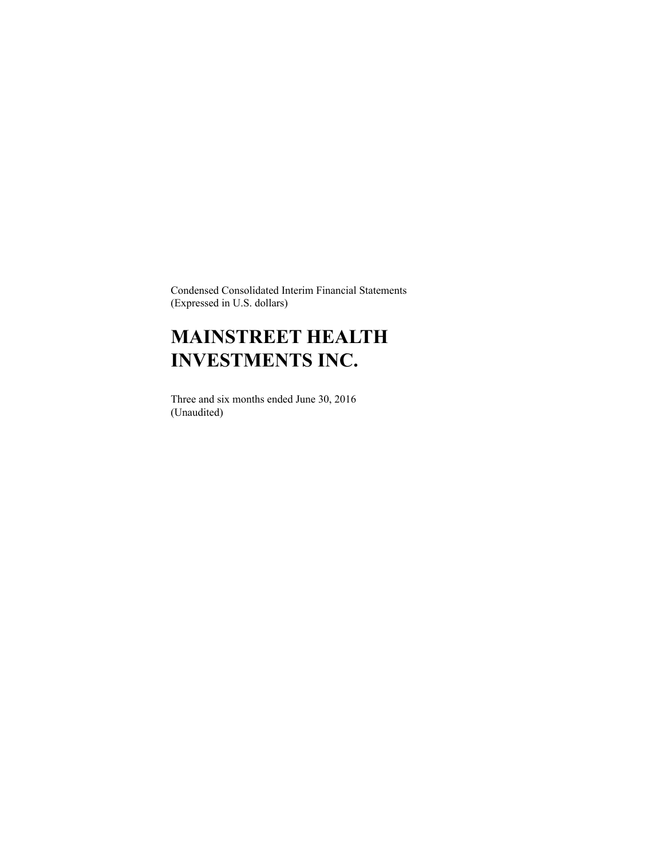Condensed Consolidated Interim Financial Statements (Expressed in U.S. dollars)

# **MAINSTREET HEALTH INVESTMENTS INC.**

Three and six months ended June 30, 2016 (Unaudited)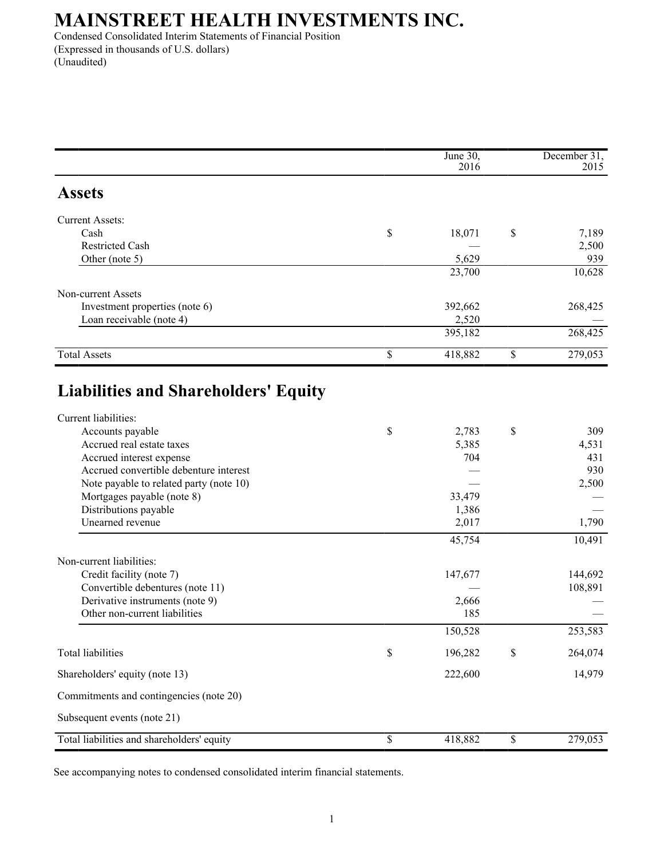Condensed Consolidated Interim Statements of Financial Position (Expressed in thousands of U.S. dollars) (Unaudited)

|                                                                     | June 30,<br>2016 | December 31,<br>2015 |
|---------------------------------------------------------------------|------------------|----------------------|
| <b>Assets</b>                                                       |                  |                      |
| <b>Current Assets:</b>                                              |                  |                      |
| Cash                                                                | \$<br>18,071     | \$<br>7,189          |
| <b>Restricted Cash</b>                                              |                  | 2,500                |
| Other (note 5)                                                      | 5,629            | 939                  |
|                                                                     | 23,700           | 10,628               |
| Non-current Assets                                                  |                  |                      |
| Investment properties (note 6)                                      | 392,662          | 268,425              |
| Loan receivable (note 4)                                            | 2,520            |                      |
|                                                                     | 395,182          | 268,425              |
| <b>Total Assets</b>                                                 | \$<br>418,882    | \$<br>279,053        |
| <b>Liabilities and Shareholders' Equity</b><br>Current liabilities: |                  |                      |
| Accounts payable                                                    | \$<br>2,783      | \$<br>309            |
| Accrued real estate taxes                                           | 5,385            | 4,531                |
| Accrued interest expense                                            | 704              | 431                  |
| Accrued convertible debenture interest                              |                  | 930                  |
| Note payable to related party (note 10)                             |                  | 2,500                |
| Mortgages payable (note 8)                                          | 33,479           |                      |
| Distributions payable<br>Unearned revenue                           | 1,386<br>2,017   | 1,790                |
|                                                                     | 45,754           | 10,491               |
|                                                                     |                  |                      |
| Non-current liabilities:                                            |                  |                      |
| Credit facility (note 7)                                            | 147,677          | 144,692<br>108,891   |
| Convertible debentures (note 11)<br>Derivative instruments (note 9) | 2,666            |                      |
| Other non-current liabilities                                       | 185              |                      |
|                                                                     | 150,528          | 253,583              |
| <b>Total liabilities</b>                                            | \$<br>196,282    | \$<br>264,074        |
| Shareholders' equity (note 13)                                      | 222,600          | 14,979               |
| Commitments and contingencies (note 20)                             |                  |                      |
| Subsequent events (note 21)                                         |                  |                      |
| Total liabilities and shareholders' equity                          | \$<br>418,882    | \$<br>279,053        |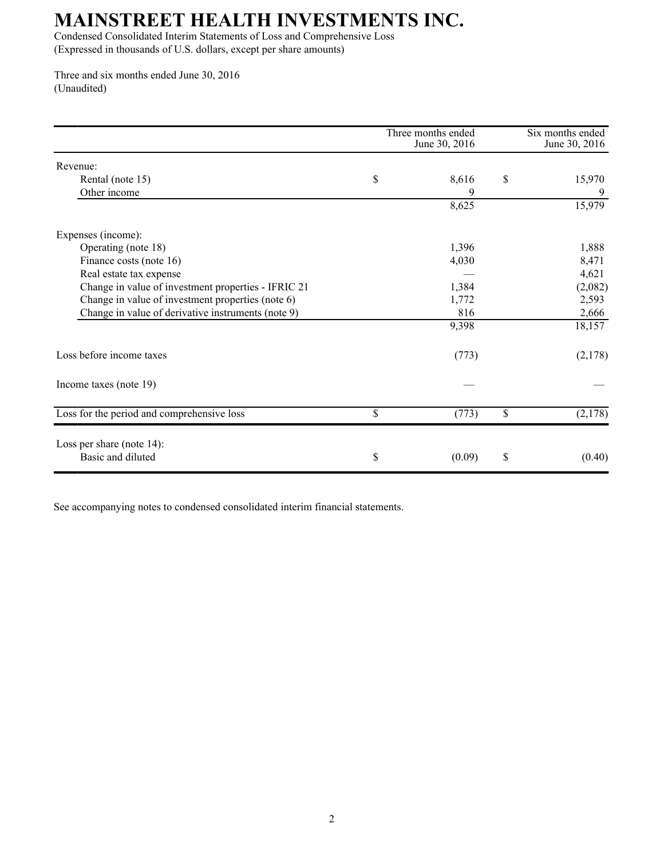Condensed Consolidated Interim Statements of Loss and Comprehensive Loss (Expressed in thousands of U.S. dollars, except per share amounts)

Three and six months ended June 30, 2016 (Unaudited)

|                                                     | Three months ended<br>June 30, 2016 | Six months ended<br>June 30, 2016 |
|-----------------------------------------------------|-------------------------------------|-----------------------------------|
| Revenue:                                            |                                     |                                   |
| Rental (note 15)                                    | \$<br>8,616                         | \$<br>15,970                      |
| Other income                                        |                                     |                                   |
|                                                     | 8,625                               | 15,979                            |
| Expenses (income):                                  |                                     |                                   |
| Operating (note 18)                                 | 1,396                               | 1,888                             |
| Finance costs (note 16)                             | 4,030                               | 8,471                             |
| Real estate tax expense                             |                                     | 4,621                             |
| Change in value of investment properties - IFRIC 21 | 1,384                               | (2,082)                           |
| Change in value of investment properties (note 6)   | 1,772                               | 2,593                             |
| Change in value of derivative instruments (note 9)  | 816                                 | 2,666                             |
|                                                     | 9,398                               | 18,157                            |
| Loss before income taxes                            | (773)                               | (2,178)                           |
| Income taxes (note 19)                              |                                     |                                   |
| Loss for the period and comprehensive loss          | \$<br>(773)                         | \$<br>(2,178)                     |
| Loss per share (note $14$ ):                        |                                     |                                   |
| Basic and diluted                                   | \$<br>(0.09)                        | \$<br>(0.40)                      |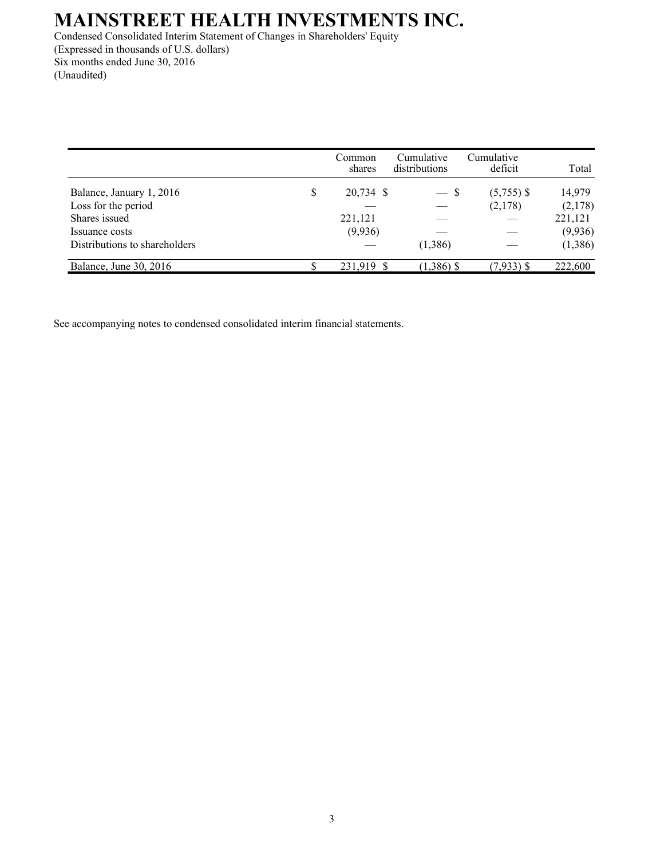Condensed Consolidated Interim Statement of Changes in Shareholders' Equity (Expressed in thousands of U.S. dollars) Six months ended June 30, 2016 (Unaudited)

|                               |   | Common<br>shares | Cumulative<br>distributions | Cumulative<br>deficit | Total   |
|-------------------------------|---|------------------|-----------------------------|-----------------------|---------|
| Balance, January 1, 2016      | S | 20,734 \$        | $-$ S                       | $(5,755)$ \$          | 14,979  |
| Loss for the period           |   |                  |                             | (2,178)               | (2,178) |
| Shares issued                 |   | 221,121          |                             |                       | 221,121 |
| Issuance costs                |   | (9,936)          |                             |                       | (9,936) |
| Distributions to shareholders |   |                  | (1,386)                     |                       | (1,386) |
| Balance, June 30, 2016        |   | 231,919 \$       | $(1,386)$ \$                | $(7,933)$ \$          | 222,600 |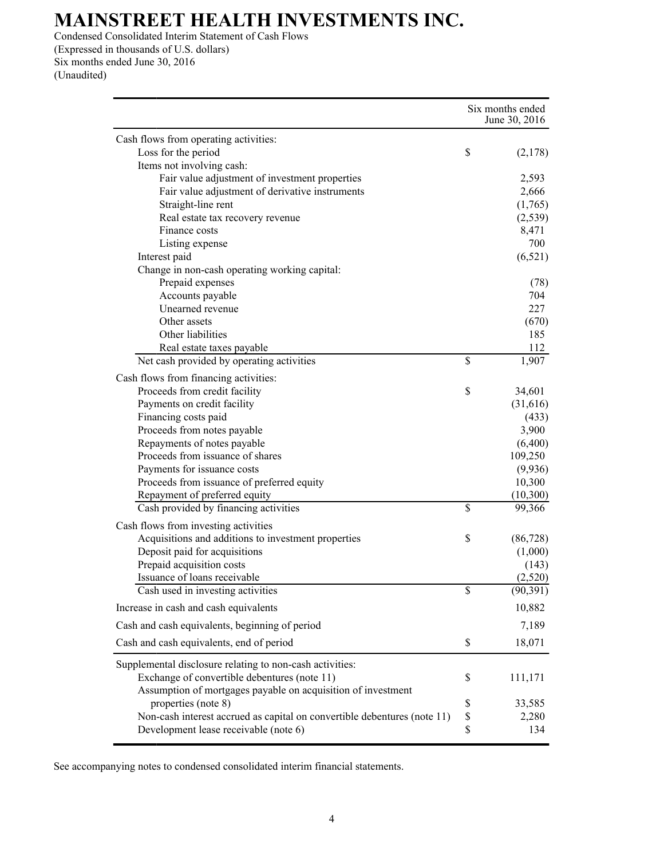Condensed Consolidated Interim Statement of Cash Flows (Expressed in thousands of U.S. dollars) Six months ended June 30, 2016 (Unaudited)

|                                                                                                                                                                          | Six months ended<br>June 30, 2016 |  |
|--------------------------------------------------------------------------------------------------------------------------------------------------------------------------|-----------------------------------|--|
| Cash flows from operating activities:                                                                                                                                    |                                   |  |
| Loss for the period                                                                                                                                                      | \$<br>(2,178)                     |  |
| Items not involving cash:                                                                                                                                                |                                   |  |
| Fair value adjustment of investment properties                                                                                                                           | 2,593                             |  |
| Fair value adjustment of derivative instruments                                                                                                                          | 2,666                             |  |
| Straight-line rent                                                                                                                                                       | (1,765)                           |  |
| Real estate tax recovery revenue                                                                                                                                         | (2, 539)                          |  |
| Finance costs                                                                                                                                                            | 8,471                             |  |
| Listing expense                                                                                                                                                          | 700                               |  |
| Interest paid                                                                                                                                                            | (6,521)                           |  |
| Change in non-cash operating working capital:                                                                                                                            |                                   |  |
| Prepaid expenses                                                                                                                                                         | (78)                              |  |
| Accounts payable                                                                                                                                                         | 704                               |  |
| Unearned revenue                                                                                                                                                         | 227                               |  |
| Other assets                                                                                                                                                             | (670)                             |  |
| Other liabilities                                                                                                                                                        | 185                               |  |
| Real estate taxes payable                                                                                                                                                | 112                               |  |
| Net cash provided by operating activities                                                                                                                                | \$<br>1,907                       |  |
|                                                                                                                                                                          |                                   |  |
| Cash flows from financing activities:                                                                                                                                    |                                   |  |
| Proceeds from credit facility                                                                                                                                            | \$<br>34,601                      |  |
| Payments on credit facility                                                                                                                                              | (31, 616)                         |  |
| Financing costs paid                                                                                                                                                     | (433)                             |  |
| Proceeds from notes payable                                                                                                                                              | 3,900                             |  |
| Repayments of notes payable                                                                                                                                              | (6,400)                           |  |
| Proceeds from issuance of shares                                                                                                                                         | 109,250                           |  |
| Payments for issuance costs                                                                                                                                              | (9,936)                           |  |
| Proceeds from issuance of preferred equity                                                                                                                               | 10,300                            |  |
| Repayment of preferred equity                                                                                                                                            | (10,300)                          |  |
| Cash provided by financing activities                                                                                                                                    | \$<br>99,366                      |  |
| Cash flows from investing activities                                                                                                                                     |                                   |  |
| Acquisitions and additions to investment properties                                                                                                                      | \$<br>(86, 728)                   |  |
| Deposit paid for acquisitions                                                                                                                                            | (1,000)                           |  |
| Prepaid acquisition costs                                                                                                                                                | (143)                             |  |
| Issuance of loans receivable                                                                                                                                             | (2,520)                           |  |
| Cash used in investing activities                                                                                                                                        | \$<br>(90, 391)                   |  |
| Increase in cash and cash equivalents                                                                                                                                    | 10,882                            |  |
| Cash and cash equivalents, beginning of period                                                                                                                           | 7,189                             |  |
| Cash and cash equivalents, end of period                                                                                                                                 | \$<br>18,071                      |  |
| Supplemental disclosure relating to non-cash activities:<br>Exchange of convertible debentures (note 11)<br>Assumption of mortgages payable on acquisition of investment | \$<br>111,171                     |  |
| properties (note 8)                                                                                                                                                      | \$<br>33,585                      |  |
| Non-cash interest accrued as capital on convertible debentures (note 11)                                                                                                 | \$<br>2,280                       |  |
| Development lease receivable (note 6)                                                                                                                                    | \$<br>134                         |  |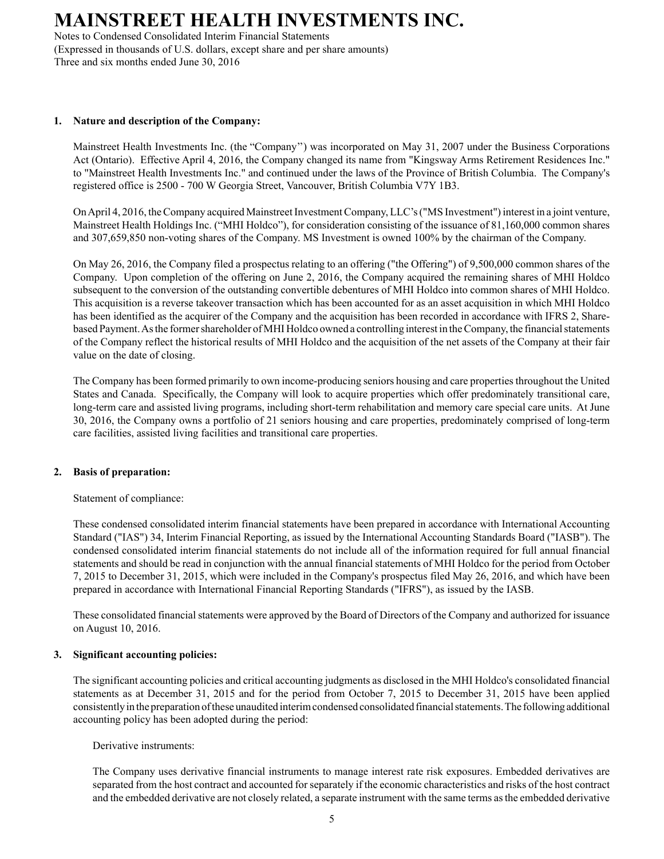Notes to Condensed Consolidated Interim Financial Statements (Expressed in thousands of U.S. dollars, except share and per share amounts) Three and six months ended June 30, 2016

### **1. Nature and description of the Company:**

Mainstreet Health Investments Inc. (the "Company'') was incorporated on May 31, 2007 under the Business Corporations Act (Ontario). Effective April 4, 2016, the Company changed its name from "Kingsway Arms Retirement Residences Inc." to "Mainstreet Health Investments Inc." and continued under the laws of the Province of British Columbia. The Company's registered office is 2500 - 700 W Georgia Street, Vancouver, British Columbia V7Y 1B3.

On April 4, 2016, the Company acquired Mainstreet Investment Company, LLC's ("MS Investment") interest in a joint venture, Mainstreet Health Holdings Inc. ("MHI Holdco"), for consideration consisting of the issuance of 81,160,000 common shares and 307,659,850 non-voting shares of the Company. MS Investment is owned 100% by the chairman of the Company.

On May 26, 2016, the Company filed a prospectus relating to an offering ("the Offering") of 9,500,000 common shares of the Company. Upon completion of the offering on June 2, 2016, the Company acquired the remaining shares of MHI Holdco subsequent to the conversion of the outstanding convertible debentures of MHI Holdco into common shares of MHI Holdco. This acquisition is a reverse takeover transaction which has been accounted for as an asset acquisition in which MHI Holdco has been identified as the acquirer of the Company and the acquisition has been recorded in accordance with IFRS 2, Sharebased Payment. As the former shareholder of MHI Holdco owned a controlling interest in the Company, the financial statements of the Company reflect the historical results of MHI Holdco and the acquisition of the net assets of the Company at their fair value on the date of closing.

The Company has been formed primarily to own income-producing seniors housing and care properties throughout the United States and Canada. Specifically, the Company will look to acquire properties which offer predominately transitional care, long-term care and assisted living programs, including short-term rehabilitation and memory care special care units. At June 30, 2016, the Company owns a portfolio of 21 seniors housing and care properties, predominately comprised of long-term care facilities, assisted living facilities and transitional care properties.

### **2. Basis of preparation:**

Statement of compliance:

These condensed consolidated interim financial statements have been prepared in accordance with International Accounting Standard ("IAS") 34, Interim Financial Reporting, as issued by the International Accounting Standards Board ("IASB"). The condensed consolidated interim financial statements do not include all of the information required for full annual financial statements and should be read in conjunction with the annual financial statements of MHI Holdco for the period from October 7, 2015 to December 31, 2015, which were included in the Company's prospectus filed May 26, 2016, and which have been prepared in accordance with International Financial Reporting Standards ("IFRS"), as issued by the IASB.

These consolidated financial statements were approved by the Board of Directors of the Company and authorized for issuance on August 10, 2016.

### **3. Significant accounting policies:**

The significant accounting policies and critical accounting judgments as disclosed in the MHI Holdco's consolidated financial statements as at December 31, 2015 and for the period from October 7, 2015 to December 31, 2015 have been applied consistently in the preparation of these unaudited interim condensed consolidated financial statements. The following additional accounting policy has been adopted during the period:

Derivative instruments:

The Company uses derivative financial instruments to manage interest rate risk exposures. Embedded derivatives are separated from the host contract and accounted for separately if the economic characteristics and risks of the host contract and the embedded derivative are not closely related, a separate instrument with the same terms as the embedded derivative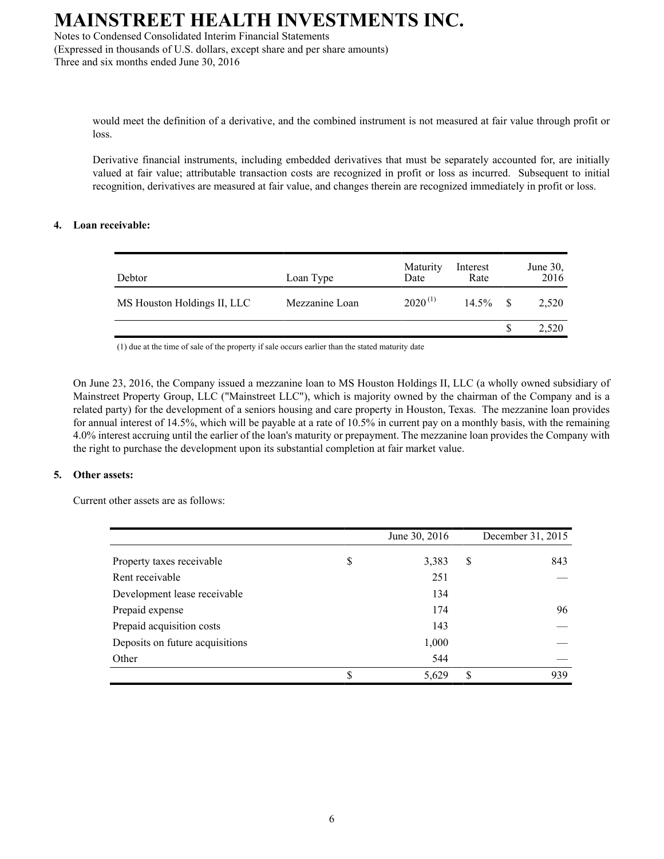Notes to Condensed Consolidated Interim Financial Statements (Expressed in thousands of U.S. dollars, except share and per share amounts)

Three and six months ended June 30, 2016

would meet the definition of a derivative, and the combined instrument is not measured at fair value through profit or loss.

Derivative financial instruments, including embedded derivatives that must be separately accounted for, are initially valued at fair value; attributable transaction costs are recognized in profit or loss as incurred. Subsequent to initial recognition, derivatives are measured at fair value, and changes therein are recognized immediately in profit or loss.

#### **4. Loan receivable:**

| Debtor                      | Loan Type      | Maturity<br>Date | Interest<br>Rate |              | June 30,<br>2016 |
|-----------------------------|----------------|------------------|------------------|--------------|------------------|
| MS Houston Holdings II, LLC | Mezzanine Loan | $2020^{(1)}$     | $14.5\%$         | $\mathbf{s}$ | 2,520            |
|                             |                |                  |                  |              | 2,520            |

(1) due at the time of sale of the property if sale occurs earlier than the stated maturity date

On June 23, 2016, the Company issued a mezzanine loan to MS Houston Holdings II, LLC (a wholly owned subsidiary of Mainstreet Property Group, LLC ("Mainstreet LLC"), which is majority owned by the chairman of the Company and is a related party) for the development of a seniors housing and care property in Houston, Texas. The mezzanine loan provides for annual interest of 14.5%, which will be payable at a rate of 10.5% in current pay on a monthly basis, with the remaining 4.0% interest accruing until the earlier of the loan's maturity or prepayment. The mezzanine loan provides the Company with the right to purchase the development upon its substantial completion at fair market value.

#### **5. Other assets:**

Current other assets are as follows:

|                                 | June 30, 2016 | December 31, 2015 |
|---------------------------------|---------------|-------------------|
| Property taxes receivable       | \$<br>3,383   | \$<br>843         |
| Rent receivable                 | 251           |                   |
| Development lease receivable    | 134           |                   |
| Prepaid expense                 | 174           | 96                |
| Prepaid acquisition costs       | 143           |                   |
| Deposits on future acquisitions | 1,000         |                   |
| Other                           | 544           |                   |
|                                 | 5,629         | \$<br>939         |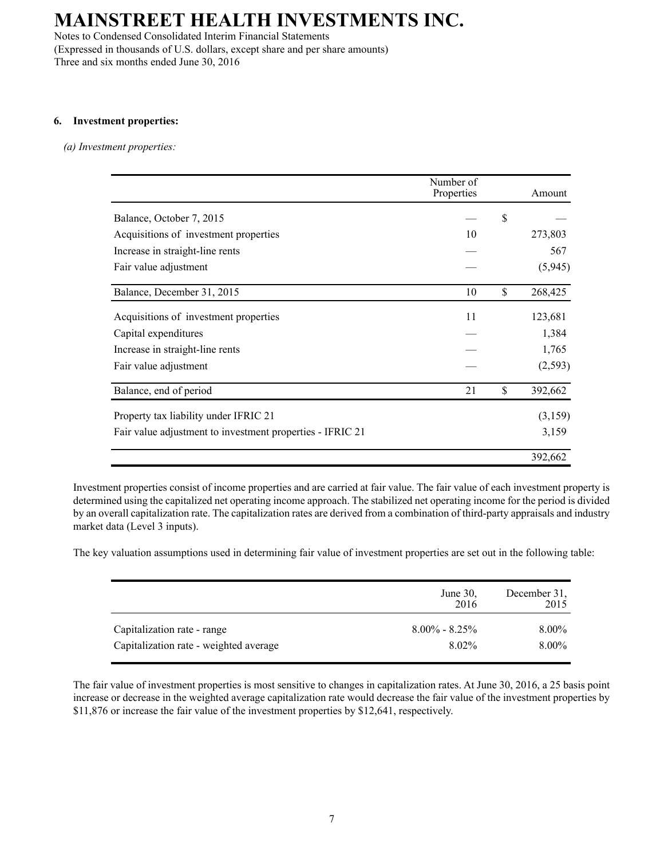Notes to Condensed Consolidated Interim Financial Statements (Expressed in thousands of U.S. dollars, except share and per share amounts) Three and six months ended June 30, 2016

#### **6. Investment properties:**

#### *(a) Investment properties:*

|                                                           | Number of<br>Properties | Amount        |
|-----------------------------------------------------------|-------------------------|---------------|
| Balance, October 7, 2015                                  |                         | \$            |
| Acquisitions of investment properties                     | 10                      | 273,803       |
| Increase in straight-line rents                           |                         | 567           |
| Fair value adjustment                                     |                         | (5,945)       |
| Balance, December 31, 2015                                | 10                      | \$<br>268,425 |
| Acquisitions of investment properties                     | 11                      | 123,681       |
| Capital expenditures                                      |                         | 1,384         |
| Increase in straight-line rents                           |                         | 1,765         |
| Fair value adjustment                                     |                         | (2, 593)      |
| Balance, end of period                                    | 21                      | \$<br>392,662 |
| Property tax liability under IFRIC 21                     |                         | (3,159)       |
| Fair value adjustment to investment properties - IFRIC 21 |                         | 3,159         |
|                                                           |                         | 392,662       |

Investment properties consist of income properties and are carried at fair value. The fair value of each investment property is determined using the capitalized net operating income approach. The stabilized net operating income for the period is divided by an overall capitalization rate. The capitalization rates are derived from a combination of third-party appraisals and industry market data (Level 3 inputs).

The key valuation assumptions used in determining fair value of investment properties are set out in the following table:

|                                        | June $30$ ,<br>2016 | December 31,<br>2015 |
|----------------------------------------|---------------------|----------------------|
| Capitalization rate - range            | $8.00\% - 8.25\%$   | 8.00%                |
| Capitalization rate - weighted average | 8.02%               | 8.00%                |

The fair value of investment properties is most sensitive to changes in capitalization rates. At June 30, 2016, a 25 basis point increase or decrease in the weighted average capitalization rate would decrease the fair value of the investment properties by \$11,876 or increase the fair value of the investment properties by \$12,641, respectively.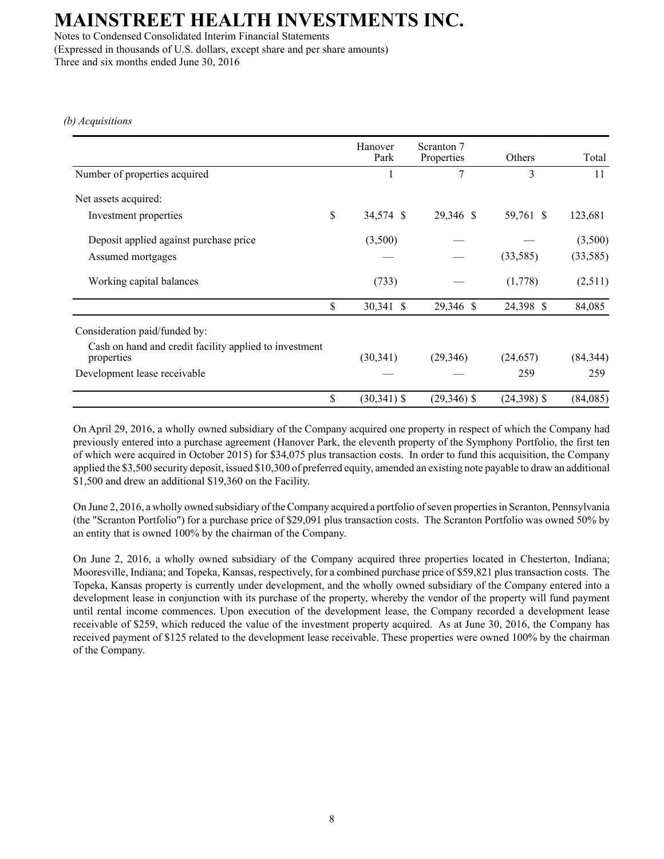Notes to Condensed Consolidated Interim Financial Statements (Expressed in thousands of U.S. dollars, except share and per share amounts) Three and six months ended June 30, 2016

*(b) Acquisitions*

|                                                                      | Hanover<br>Park      | Scranton 7<br>Properties | Others        | Total     |
|----------------------------------------------------------------------|----------------------|--------------------------|---------------|-----------|
| Number of properties acquired                                        |                      | 7                        | 3             | 11        |
| Net assets acquired:                                                 |                      |                          |               |           |
| Investment properties                                                | \$<br>34,574 \$      | 29,346 \$                | 59,761 \$     | 123,681   |
| Deposit applied against purchase price                               | (3,500)              |                          |               | (3,500)   |
| Assumed mortgages                                                    |                      |                          | (33,585)      | (33, 585) |
| Working capital balances                                             | (733)                |                          | (1,778)       | (2,511)   |
|                                                                      | \$<br>30,341 \$      | 29,346 \$                | 24,398 \$     | 84,085    |
| Consideration paid/funded by:                                        |                      |                          |               |           |
| Cash on hand and credit facility applied to investment<br>properties | (30, 341)            | (29, 346)                | (24, 657)     | (84, 344) |
| Development lease receivable                                         |                      |                          | 259           | 259       |
|                                                                      | \$<br>$(30, 341)$ \$ | $(29,346)$ \$            | $(24,398)$ \$ | (84,085)  |

On April 29, 2016, a wholly owned subsidiary of the Company acquired one property in respect of which the Company had previously entered into a purchase agreement (Hanover Park, the eleventh property of the Symphony Portfolio, the first ten of which were acquired in October 2015) for \$34,075 plus transaction costs. In order to fund this acquisition, the Company applied the \$3,500 security deposit, issued \$10,300 of preferred equity, amended an existing note payable to draw an additional \$1,500 and drew an additional \$19,360 on the Facility.

On June 2, 2016, a wholly owned subsidiary of the Company acquired a portfolio of seven properties in Scranton, Pennsylvania (the "Scranton Portfolio") for a purchase price of \$29,091 plus transaction costs. The Scranton Portfolio was owned 50% by an entity that is owned 100% by the chairman of the Company.

On June 2, 2016, a wholly owned subsidiary of the Company acquired three properties located in Chesterton, Indiana; Mooresville, Indiana; and Topeka, Kansas, respectively, for a combined purchase price of \$59,821 plus transaction costs. The Topeka, Kansas property is currently under development, and the wholly owned subsidiary of the Company entered into a development lease in conjunction with its purchase of the property, whereby the vendor of the property will fund payment until rental income commences. Upon execution of the development lease, the Company recorded a development lease receivable of \$259, which reduced the value of the investment property acquired. As at June 30, 2016, the Company has received payment of \$125 related to the development lease receivable. These properties were owned 100% by the chairman of the Company.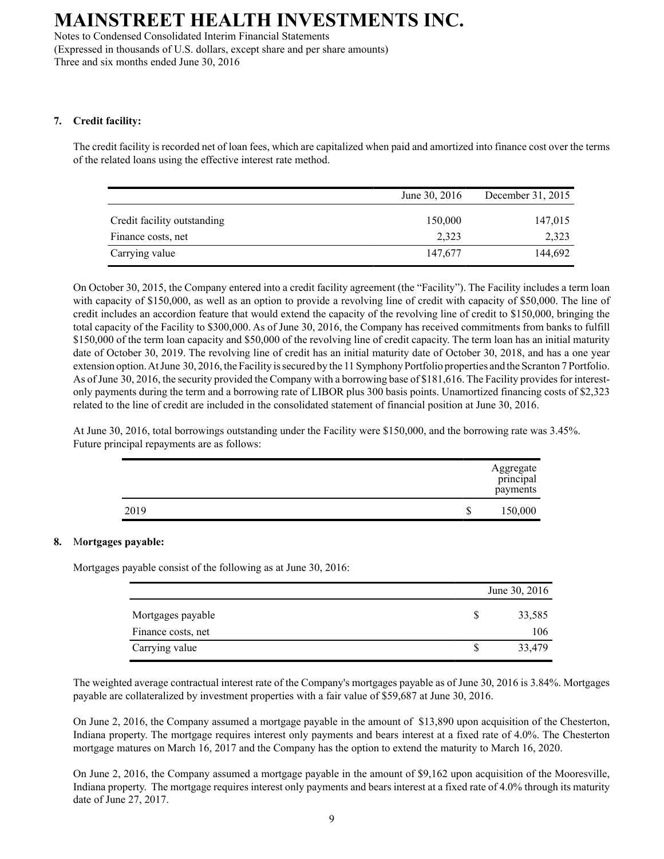Notes to Condensed Consolidated Interim Financial Statements (Expressed in thousands of U.S. dollars, except share and per share amounts) Three and six months ended June 30, 2016

#### **7. Credit facility:**

The credit facility is recorded net of loan fees, which are capitalized when paid and amortized into finance cost over the terms of the related loans using the effective interest rate method.

|                             | June 30, 2016 | December 31, 2015 |
|-----------------------------|---------------|-------------------|
| Credit facility outstanding | 150,000       | 147,015           |
| Finance costs, net          | 2.323         | 2,323             |
| Carrying value              | 147,677       | 144,692           |

On October 30, 2015, the Company entered into a credit facility agreement (the "Facility"). The Facility includes a term loan with capacity of \$150,000, as well as an option to provide a revolving line of credit with capacity of \$50,000. The line of credit includes an accordion feature that would extend the capacity of the revolving line of credit to \$150,000, bringing the total capacity of the Facility to \$300,000. As of June 30, 2016, the Company has received commitments from banks to fulfill \$150,000 of the term loan capacity and \$50,000 of the revolving line of credit capacity. The term loan has an initial maturity date of October 30, 2019. The revolving line of credit has an initial maturity date of October 30, 2018, and has a one year extension option. At June 30, 2016, the Facility is secured by the 11 Symphony Portfolio properties and the Scranton 7 Portfolio. As of June 30, 2016, the security provided the Company with a borrowing base of \$181,616. The Facility provides for interestonly payments during the term and a borrowing rate of LIBOR plus 300 basis points. Unamortized financing costs of \$2,323 related to the line of credit are included in the consolidated statement of financial position at June 30, 2016.

At June 30, 2016, total borrowings outstanding under the Facility were \$150,000, and the borrowing rate was 3.45%. Future principal repayments are as follows:

|      |   | Aggregate<br>principal<br>payments |
|------|---|------------------------------------|
| 2019 | J | 150,000                            |

#### **8.** M**ortgages payable:**

Mortgages payable consist of the following as at June 30, 2016:

|                    | June 30, 2016 |
|--------------------|---------------|
| Mortgages payable  | 33,585        |
| Finance costs, net | 106           |
| Carrying value     | 33,479        |

The weighted average contractual interest rate of the Company's mortgages payable as of June 30, 2016 is 3.84%. Mortgages payable are collateralized by investment properties with a fair value of \$59,687 at June 30, 2016.

On June 2, 2016, the Company assumed a mortgage payable in the amount of \$13,890 upon acquisition of the Chesterton, Indiana property. The mortgage requires interest only payments and bears interest at a fixed rate of 4.0%. The Chesterton mortgage matures on March 16, 2017 and the Company has the option to extend the maturity to March 16, 2020.

On June 2, 2016, the Company assumed a mortgage payable in the amount of \$9,162 upon acquisition of the Mooresville, Indiana property. The mortgage requires interest only payments and bears interest at a fixed rate of 4.0% through its maturity date of June 27, 2017.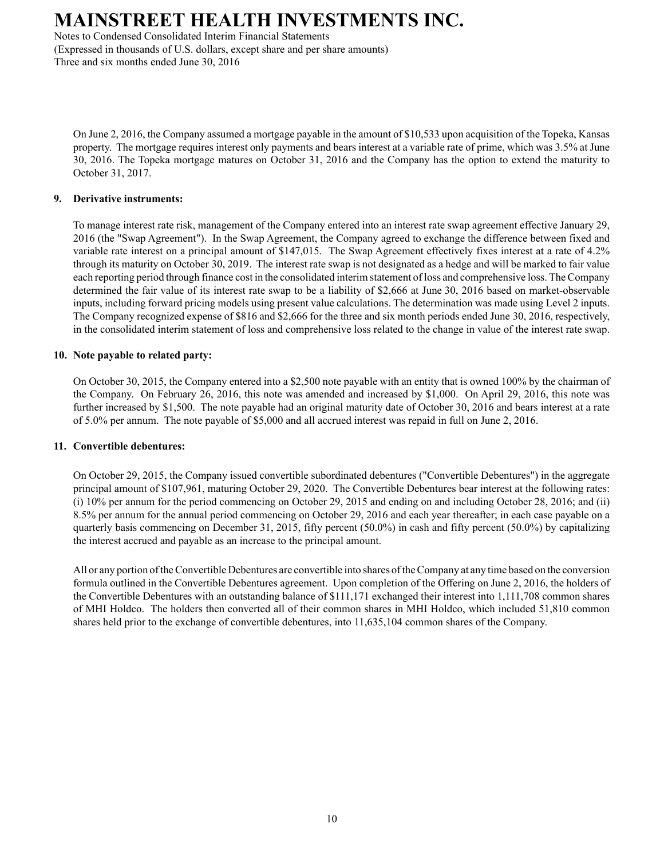Notes to Condensed Consolidated Interim Financial Statements (Expressed in thousands of U.S. dollars, except share and per share amounts) Three and six months ended June 30, 2016

On June 2, 2016, the Company assumed a mortgage payable in the amount of \$10,533 upon acquisition of the Topeka, Kansas property. The mortgage requires interest only payments and bears interest at a variable rate of prime, which was 3.5% at June 30, 2016. The Topeka mortgage matures on October 31, 2016 and the Company has the option to extend the maturity to October 31, 2017.

#### **9. Derivative instruments:**

To manage interest rate risk, management of the Company entered into an interest rate swap agreement effective January 29, 2016 (the "Swap Agreement"). In the Swap Agreement, the Company agreed to exchange the difference between fixed and variable rate interest on a principal amount of \$147,015. The Swap Agreement effectively fixes interest at a rate of 4.2% through its maturity on October 30, 2019. The interest rate swap is not designated as a hedge and will be marked to fair value each reporting period through finance cost in the consolidated interim statement of loss and comprehensive loss. The Company determined the fair value of its interest rate swap to be a liability of \$2,666 at June 30, 2016 based on market-observable inputs, including forward pricing models using present value calculations. The determination was made using Level 2 inputs. The Company recognized expense of \$816 and \$2,666 for the three and six month periods ended June 30, 2016, respectively, in the consolidated interim statement of loss and comprehensive loss related to the change in value of the interest rate swap.

#### **10. Note payable to related party:**

On October 30, 2015, the Company entered into a \$2,500 note payable with an entity that is owned 100% by the chairman of the Company. On February 26, 2016, this note was amended and increased by \$1,000. On April 29, 2016, this note was further increased by \$1,500. The note payable had an original maturity date of October 30, 2016 and bears interest at a rate of 5.0% per annum. The note payable of \$5,000 and all accrued interest was repaid in full on June 2, 2016.

#### **11. Convertible debentures:**

On October 29, 2015, the Company issued convertible subordinated debentures ("Convertible Debentures") in the aggregate principal amount of \$107,961, maturing October 29, 2020. The Convertible Debentures bear interest at the following rates: (i) 10% per annum for the period commencing on October 29, 2015 and ending on and including October 28, 2016; and (ii) 8.5% per annum for the annual period commencing on October 29, 2016 and each year thereafter; in each case payable on a quarterly basis commencing on December 31, 2015, fifty percent (50.0%) in cash and fifty percent (50.0%) by capitalizing the interest accrued and payable as an increase to the principal amount.

All or any portion of the Convertible Debentures are convertible into shares of the Company at any time based on the conversion formula outlined in the Convertible Debentures agreement. Upon completion of the Offering on June 2, 2016, the holders of the Convertible Debentures with an outstanding balance of \$111,171 exchanged their interest into 1,111,708 common shares of MHI Holdco. The holders then converted all of their common shares in MHI Holdco, which included 51,810 common shares held prior to the exchange of convertible debentures, into 11,635,104 common shares of the Company.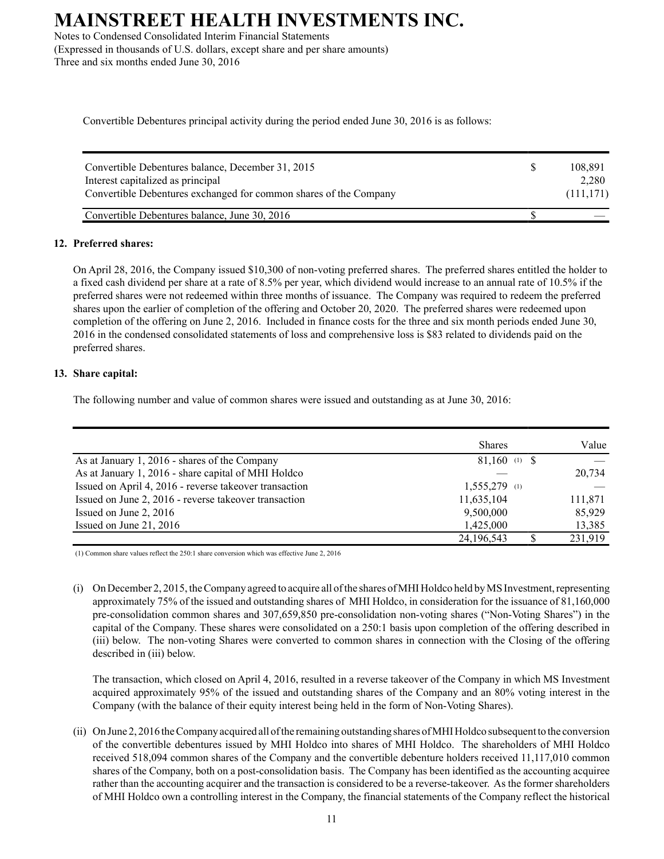Notes to Condensed Consolidated Interim Financial Statements (Expressed in thousands of U.S. dollars, except share and per share amounts) Three and six months ended June 30, 2016

Convertible Debentures principal activity during the period ended June 30, 2016 is as follows:

| Convertible Debentures balance, December 31, 2015<br>Interest capitalized as principal<br>Convertible Debentures exchanged for common shares of the Company | S. | 108.891<br>2.280<br>(111, 171) |
|-------------------------------------------------------------------------------------------------------------------------------------------------------------|----|--------------------------------|
| Convertible Debentures balance, June 30, 2016                                                                                                               |    |                                |

#### **12. Preferred shares:**

On April 28, 2016, the Company issued \$10,300 of non-voting preferred shares. The preferred shares entitled the holder to a fixed cash dividend per share at a rate of 8.5% per year, which dividend would increase to an annual rate of 10.5% if the preferred shares were not redeemed within three months of issuance. The Company was required to redeem the preferred shares upon the earlier of completion of the offering and October 20, 2020. The preferred shares were redeemed upon completion of the offering on June 2, 2016. Included in finance costs for the three and six month periods ended June 30, 2016 in the condensed consolidated statements of loss and comprehensive loss is \$83 related to dividends paid on the preferred shares.

#### **13. Share capital:**

The following number and value of common shares were issued and outstanding as at June 30, 2016:

|                                                        | <b>Shares</b>   | Value   |
|--------------------------------------------------------|-----------------|---------|
| As at January 1, 2016 - shares of the Company          | $81,160$ (1) \$ |         |
| As at January 1, 2016 - share capital of MHI Holdco    |                 | 20,734  |
| Issued on April 4, 2016 - reverse takeover transaction | $1,555,279$ (1) |         |
| Issued on June 2, 2016 - reverse takeover transaction  | 11,635,104      | 111,871 |
| Issued on June 2, 2016                                 | 9,500,000       | 85,929  |
| Issued on June 21, 2016                                | 1,425,000       | 13,385  |
|                                                        | 24, 196, 543    | 231,919 |

(1) Common share values reflect the 250:1 share conversion which was effective June 2, 2016

(i) On December 2, 2015, the Company agreed to acquire all of the shares of MHI Holdco held by MS Investment, representing approximately 75% of the issued and outstanding shares of MHI Holdco, in consideration for the issuance of 81,160,000 pre-consolidation common shares and 307,659,850 pre-consolidation non-voting shares ("Non-Voting Shares") in the capital of the Company. These shares were consolidated on a 250:1 basis upon completion of the offering described in (iii) below. The non-voting Shares were converted to common shares in connection with the Closing of the offering described in (iii) below.

The transaction, which closed on April 4, 2016, resulted in a reverse takeover of the Company in which MS Investment acquired approximately 95% of the issued and outstanding shares of the Company and an 80% voting interest in the Company (with the balance of their equity interest being held in the form of Non-Voting Shares).

(ii) On June 2, 2016 the Company acquired all of the remaining outstanding shares of MHI Holdco subsequent to the conversion of the convertible debentures issued by MHI Holdco into shares of MHI Holdco. The shareholders of MHI Holdco received 518,094 common shares of the Company and the convertible debenture holders received 11,117,010 common shares of the Company, both on a post-consolidation basis. The Company has been identified as the accounting acquiree rather than the accounting acquirer and the transaction is considered to be a reverse-takeover. As the former shareholders of MHI Holdco own a controlling interest in the Company, the financial statements of the Company reflect the historical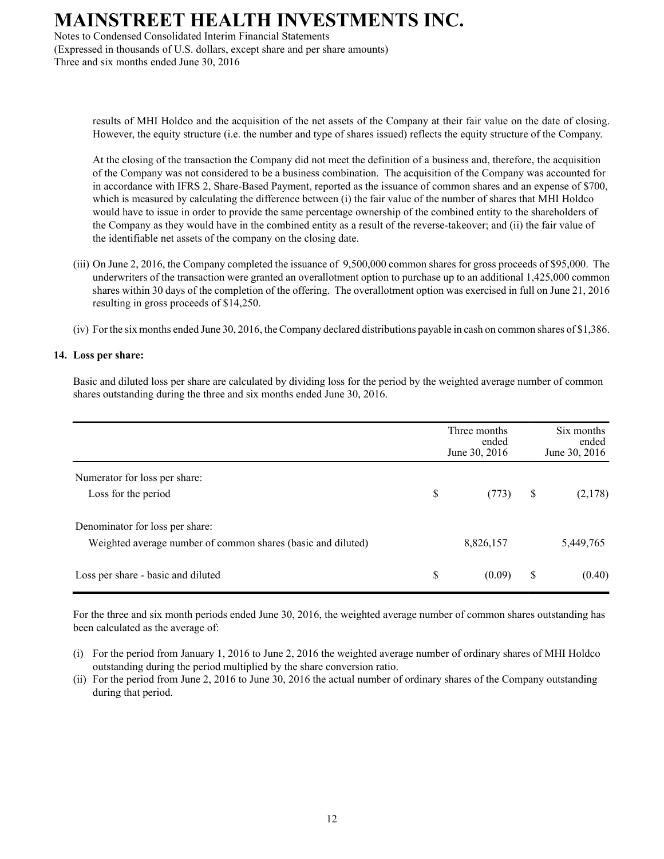Notes to Condensed Consolidated Interim Financial Statements (Expressed in thousands of U.S. dollars, except share and per share amounts) Three and six months ended June 30, 2016

> results of MHI Holdco and the acquisition of the net assets of the Company at their fair value on the date of closing. However, the equity structure (i.e. the number and type of shares issued) reflects the equity structure of the Company.

> At the closing of the transaction the Company did not meet the definition of a business and, therefore, the acquisition of the Company was not considered to be a business combination. The acquisition of the Company was accounted for in accordance with IFRS 2, Share-Based Payment, reported as the issuance of common shares and an expense of \$700, which is measured by calculating the difference between (i) the fair value of the number of shares that MHI Holdco would have to issue in order to provide the same percentage ownership of the combined entity to the shareholders of the Company as they would have in the combined entity as a result of the reverse-takeover; and (ii) the fair value of the identifiable net assets of the company on the closing date.

- (iii) On June 2, 2016, the Company completed the issuance of 9,500,000 common shares for gross proceeds of \$95,000. The underwriters of the transaction were granted an overallotment option to purchase up to an additional 1,425,000 common shares within 30 days of the completion of the offering. The overallotment option was exercised in full on June 21, 2016 resulting in gross proceeds of \$14,250.
- (iv) For the six months ended June 30, 2016, the Company declared distributions payable in cash on common shares of \$1,386.

#### **14. Loss per share:**

Basic and diluted loss per share are calculated by dividing loss for the period by the weighted average number of common shares outstanding during the three and six months ended June 30, 2016.

|                                                              | Three months<br>ended<br>June 30, 2016 | Six months<br>ended<br>June 30, 2016 |
|--------------------------------------------------------------|----------------------------------------|--------------------------------------|
| Numerator for loss per share:                                |                                        |                                      |
| Loss for the period                                          | \$<br>(773)                            | \$<br>(2,178)                        |
| Denominator for loss per share:                              |                                        |                                      |
| Weighted average number of common shares (basic and diluted) | 8,826,157                              | 5,449,765                            |
| Loss per share - basic and diluted                           | \$<br>(0.09)                           | \$<br>(0.40)                         |

For the three and six month periods ended June 30, 2016, the weighted average number of common shares outstanding has been calculated as the average of:

- (i) For the period from January 1, 2016 to June 2, 2016 the weighted average number of ordinary shares of MHI Holdco outstanding during the period multiplied by the share conversion ratio.
- (ii) For the period from June 2, 2016 to June 30, 2016 the actual number of ordinary shares of the Company outstanding during that period.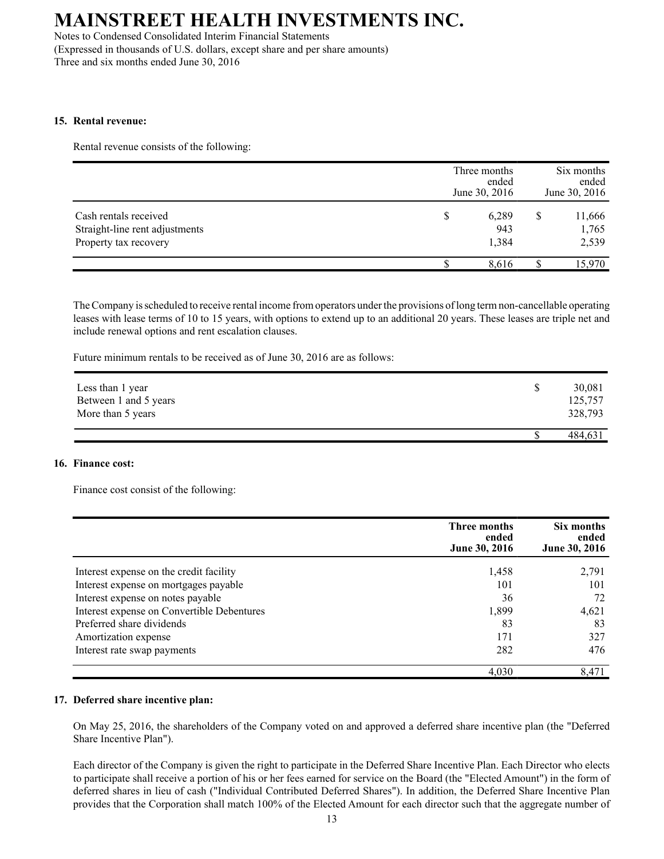Notes to Condensed Consolidated Interim Financial Statements (Expressed in thousands of U.S. dollars, except share and per share amounts) Three and six months ended June 30, 2016

#### **15. Rental revenue:**

Rental revenue consists of the following:

|                                                                                  | Three months<br>ended<br>June 30, 2016 | Six months<br>ended<br>June 30, 2016 |
|----------------------------------------------------------------------------------|----------------------------------------|--------------------------------------|
| Cash rentals received<br>Straight-line rent adjustments<br>Property tax recovery | \$<br>6,289<br>943<br>1,384            | 11,666<br>1,765<br>2,539             |
|                                                                                  | 8.616                                  | 15,970                               |

The Company is scheduled to receive rental income from operators under the provisions of long term non-cancellable operating leases with lease terms of 10 to 15 years, with options to extend up to an additional 20 years. These leases are triple net and include renewal options and rent escalation clauses.

Future minimum rentals to be received as of June 30, 2016 are as follows:

| Less than 1 year<br>Between 1 and 5 years<br>More than 5 years | 30,081<br>125,757<br>328,793 |
|----------------------------------------------------------------|------------------------------|
|                                                                | 484,631                      |

#### **16. Finance cost:**

Finance cost consist of the following:

|                                            | Three months<br>ended<br>June 30, 2016 | Six months<br>ended<br>June 30, 2016 |
|--------------------------------------------|----------------------------------------|--------------------------------------|
| Interest expense on the credit facility    | 1,458                                  | 2,791                                |
| Interest expense on mortgages payable      | 101                                    | 101                                  |
| Interest expense on notes payable          | 36                                     | 72                                   |
| Interest expense on Convertible Debentures | 1,899                                  | 4,621                                |
| Preferred share dividends                  | 83                                     | 83                                   |
| Amortization expense                       | 171                                    | 327                                  |
| Interest rate swap payments                | 282                                    | 476                                  |
|                                            | 4,030                                  | 8,471                                |

#### **17. Deferred share incentive plan:**

On May 25, 2016, the shareholders of the Company voted on and approved a deferred share incentive plan (the "Deferred Share Incentive Plan").

Each director of the Company is given the right to participate in the Deferred Share Incentive Plan. Each Director who elects to participate shall receive a portion of his or her fees earned for service on the Board (the "Elected Amount") in the form of deferred shares in lieu of cash ("Individual Contributed Deferred Shares"). In addition, the Deferred Share Incentive Plan provides that the Corporation shall match 100% of the Elected Amount for each director such that the aggregate number of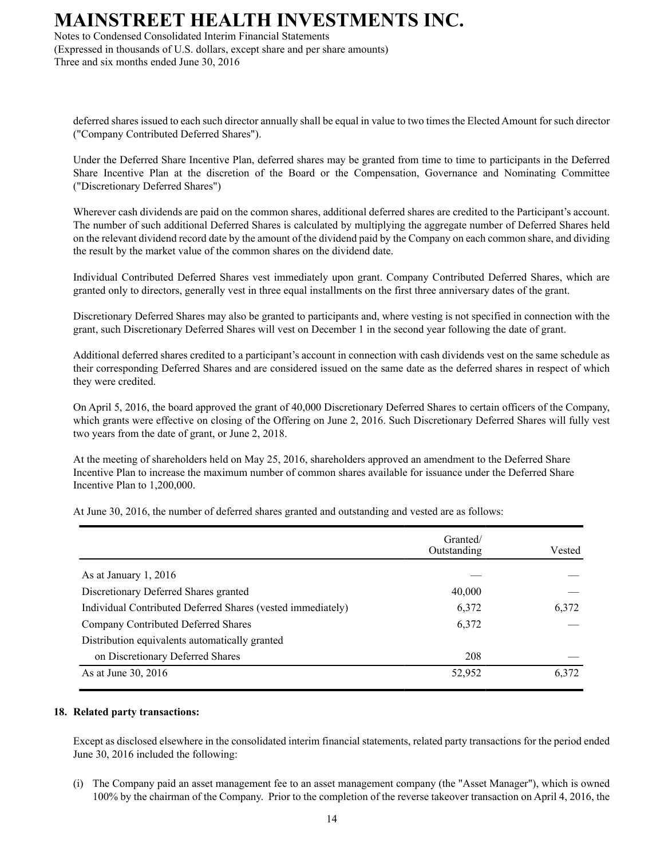Notes to Condensed Consolidated Interim Financial Statements (Expressed in thousands of U.S. dollars, except share and per share amounts) Three and six months ended June 30, 2016

deferred shares issued to each such director annually shall be equal in value to two times the Elected Amount for such director ("Company Contributed Deferred Shares").

Under the Deferred Share Incentive Plan, deferred shares may be granted from time to time to participants in the Deferred Share Incentive Plan at the discretion of the Board or the Compensation, Governance and Nominating Committee ("Discretionary Deferred Shares")

Wherever cash dividends are paid on the common shares, additional deferred shares are credited to the Participant's account. The number of such additional Deferred Shares is calculated by multiplying the aggregate number of Deferred Shares held on the relevant dividend record date by the amount of the dividend paid by the Company on each common share, and dividing the result by the market value of the common shares on the dividend date.

Individual Contributed Deferred Shares vest immediately upon grant. Company Contributed Deferred Shares, which are granted only to directors, generally vest in three equal installments on the first three anniversary dates of the grant.

Discretionary Deferred Shares may also be granted to participants and, where vesting is not specified in connection with the grant, such Discretionary Deferred Shares will vest on December 1 in the second year following the date of grant.

Additional deferred shares credited to a participant's account in connection with cash dividends vest on the same schedule as their corresponding Deferred Shares and are considered issued on the same date as the deferred shares in respect of which they were credited.

On April 5, 2016, the board approved the grant of 40,000 Discretionary Deferred Shares to certain officers of the Company, which grants were effective on closing of the Offering on June 2, 2016. Such Discretionary Deferred Shares will fully vest two years from the date of grant, or June 2, 2018.

At the meeting of shareholders held on May 25, 2016, shareholders approved an amendment to the Deferred Share Incentive Plan to increase the maximum number of common shares available for issuance under the Deferred Share Incentive Plan to 1,200,000.

At June 30, 2016, the number of deferred shares granted and outstanding and vested are as follows:

|                                                             | Granted/<br>Outstanding | Vested |
|-------------------------------------------------------------|-------------------------|--------|
| As at January 1, 2016                                       |                         |        |
| Discretionary Deferred Shares granted                       | 40,000                  |        |
| Individual Contributed Deferred Shares (vested immediately) | 6,372                   | 6,372  |
| Company Contributed Deferred Shares                         | 6,372                   |        |
| Distribution equivalents automatically granted              |                         |        |
| on Discretionary Deferred Shares                            | 208                     |        |
| As at June 30, 2016                                         | 52,952                  | 6,372  |

#### **18. Related party transactions:**

Except as disclosed elsewhere in the consolidated interim financial statements, related party transactions for the period ended June 30, 2016 included the following:

(i) The Company paid an asset management fee to an asset management company (the "Asset Manager"), which is owned 100% by the chairman of the Company. Prior to the completion of the reverse takeover transaction on April 4, 2016, the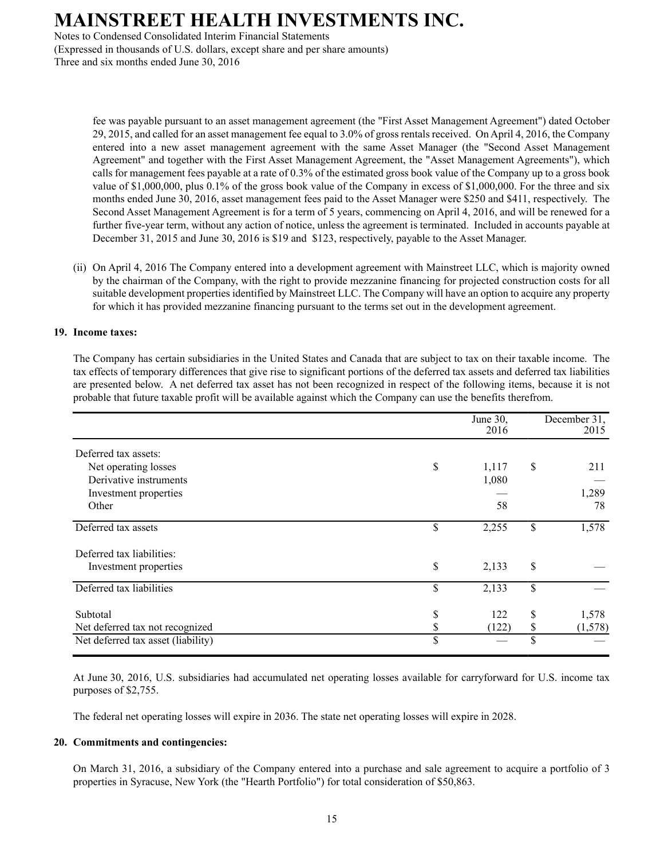Notes to Condensed Consolidated Interim Financial Statements (Expressed in thousands of U.S. dollars, except share and per share amounts) Three and six months ended June 30, 2016

> fee was payable pursuant to an asset management agreement (the "First Asset Management Agreement") dated October 29, 2015, and called for an asset management fee equal to 3.0% of gross rentals received. On April 4, 2016, the Company entered into a new asset management agreement with the same Asset Manager (the "Second Asset Management Agreement" and together with the First Asset Management Agreement, the "Asset Management Agreements"), which calls for management fees payable at a rate of 0.3% of the estimated gross book value of the Company up to a gross book value of \$1,000,000, plus 0.1% of the gross book value of the Company in excess of \$1,000,000. For the three and six months ended June 30, 2016, asset management fees paid to the Asset Manager were \$250 and \$411, respectively. The Second Asset Management Agreement is for a term of 5 years, commencing on April 4, 2016, and will be renewed for a further five-year term, without any action of notice, unless the agreement is terminated. Included in accounts payable at December 31, 2015 and June 30, 2016 is \$19 and \$123, respectively, payable to the Asset Manager.

(ii) On April 4, 2016 The Company entered into a development agreement with Mainstreet LLC, which is majority owned by the chairman of the Company, with the right to provide mezzanine financing for projected construction costs for all suitable development properties identified by Mainstreet LLC. The Company will have an option to acquire any property for which it has provided mezzanine financing pursuant to the terms set out in the development agreement.

#### **19. Income taxes:**

The Company has certain subsidiaries in the United States and Canada that are subject to tax on their taxable income. The tax effects of temporary differences that give rise to significant portions of the deferred tax assets and deferred tax liabilities are presented below. A net deferred tax asset has not been recognized in respect of the following items, because it is not probable that future taxable profit will be available against which the Company can use the benefits therefrom.

|                                    | June 30,<br>2016 | December 31,<br>2015 |
|------------------------------------|------------------|----------------------|
| Deferred tax assets:               |                  |                      |
| Net operating losses               | \$<br>1,117      | \$<br>211            |
| Derivative instruments             | 1,080            |                      |
| Investment properties              |                  | 1,289                |
| Other                              | 58               | 78                   |
| Deferred tax assets                | \$<br>2,255      | \$<br>1,578          |
| Deferred tax liabilities:          |                  |                      |
| Investment properties              | \$<br>2,133      | \$                   |
| Deferred tax liabilities           | \$<br>2,133      | \$                   |
| Subtotal                           | \$<br>122        | \$<br>1,578          |
| Net deferred tax not recognized    | \$<br>(122)      | \$<br>(1, 578)       |
| Net deferred tax asset (liability) | \$               | \$                   |

At June 30, 2016, U.S. subsidiaries had accumulated net operating losses available for carryforward for U.S. income tax purposes of \$2,755.

The federal net operating losses will expire in 2036. The state net operating losses will expire in 2028.

#### **20. Commitments and contingencies:**

On March 31, 2016, a subsidiary of the Company entered into a purchase and sale agreement to acquire a portfolio of 3 properties in Syracuse, New York (the "Hearth Portfolio") for total consideration of \$50,863.